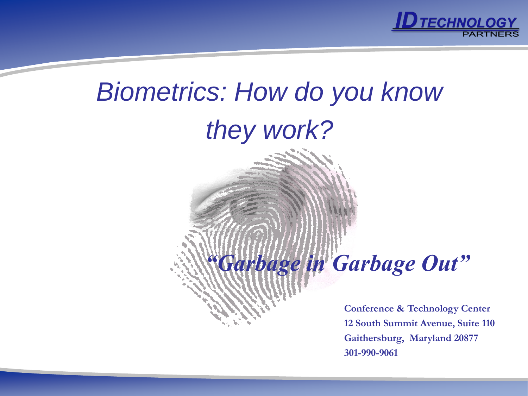

# *Biometrics: How do you know they work?*

## *"Garbage in Garbage Out"*

**Conference & Technology Center 12 South Summit Avenue, Suite 110 Gaithersburg, Maryland 20877 301-990-9061**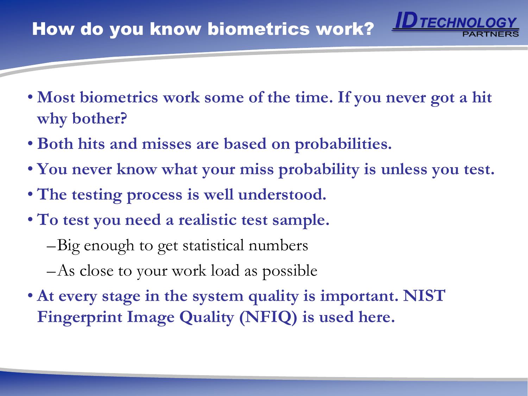- **Most biometrics work some of the time. If you never got a hit why bother?**
- **Both hits and misses are based on probabilities.**
- **You never know what your miss probability is unless you test.**
- **The testing process is well understood.**
- **To test you need a realistic test sample.**
	- –Big enough to get statistical numbers
	- –As close to your work load as possible
- **At every stage in the system quality is important. NIST Fingerprint Image Quality (NFIQ) is used here.**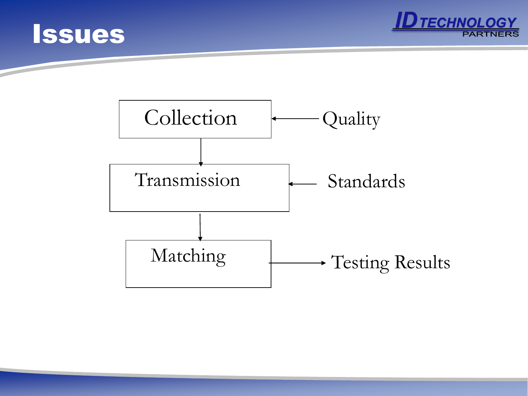



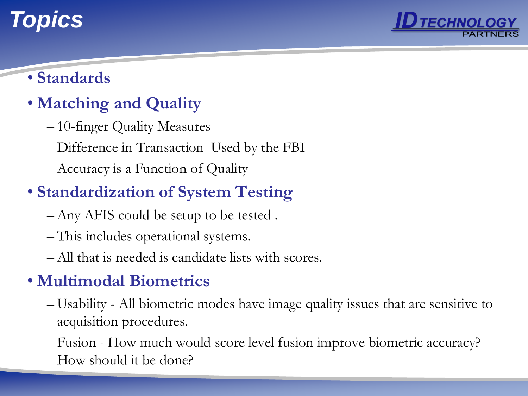## *Topics*



#### • **Standards**

## • **Matching and Quality**

- 10-finger Quality Measures
- Difference in Transaction Used by the FBI
- Accuracy is a Function of Quality

## • **Standardization of System Testing**

- Any AFIS could be setup to be tested .
- This includes operational systems.
- All that is needed is candidate lists with scores.

## • **Multimodal Biometrics**

- Usability All biometric modes have image quality issues that are sensitive to acquisition procedures.
- Fusion How much would score level fusion improve biometric accuracy? How should it be done?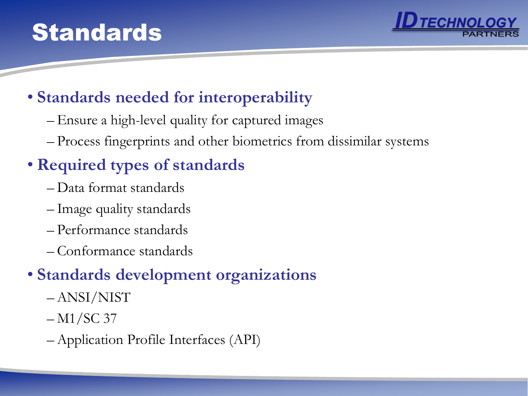## **Standards**



#### • **Standards needed for interoperability**

- Ensure a high-level quality for captured images
- Process fingerprints and other biometrics from dissimilar systems

## • **Required types of standards**

- Data format standards
- Image quality standards
- Performance standards
- Conformance standards

#### • **Standards development organizations**

- ANSI/NIST
- $-M1/SC$  37
- Application Profile Interfaces (API)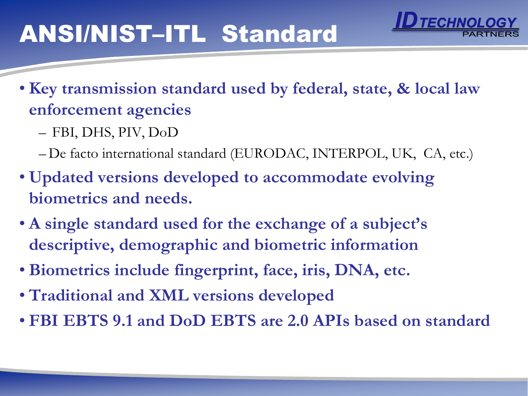## ANSI/NIST–ITL Standard

• **Key transmission standard used by federal, state, & local law enforcement agencies**

- FBI, DHS, PIV, DoD
- De facto international standard (EURODAC, INTERPOL, UK, CA, etc.)
- **Updated versions developed to accommodate evolving biometrics and needs.**
- **A single standard used for the exchange of a subject's descriptive, demographic and biometric information**
- **Biometrics include fingerprint, face, iris, DNA, etc.**
- **Traditional and XML versions developed**
- **FBI EBTS 9.1 and DoD EBTS are 2.0 APIs based on standard**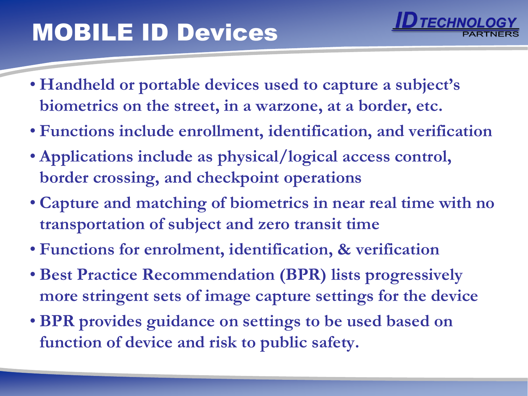## MOBILE ID Devices

- 
- **Handheld or portable devices used to capture a subject's biometrics on the street, in a warzone, at a border, etc.**
- **Functions include enrollment, identification, and verification**
- **Applications include as physical/logical access control, border crossing, and checkpoint operations**
- **Capture and matching of biometrics in near real time with no transportation of subject and zero transit time**
- **Functions for enrolment, identification, & verification**
- **Best Practice Recommendation (BPR) lists progressively more stringent sets of image capture settings for the device**
- **BPR provides guidance on settings to be used based on function of device and risk to public safety.**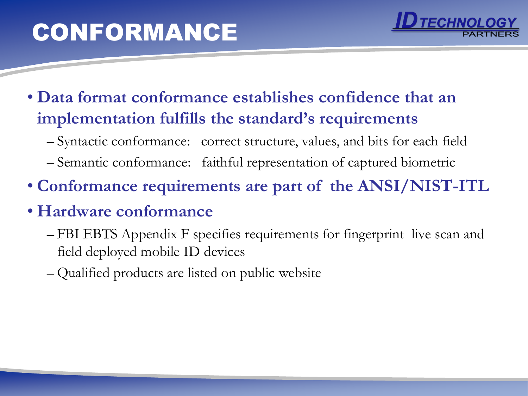# CONFORMANCE



- **Data format conformance establishes confidence that an implementation fulfills the standard's requirements**
	- Syntactic conformance: correct structure, values, and bits for each field
	- Semantic conformance: faithful representation of captured biometric
- **Conformance requirements are part of the ANSI/NIST-ITL**
- **Hardware conformance**
	- FBI EBTS Appendix F specifies requirements for fingerprint live scan and field deployed mobile ID devices
	- Qualified products are listed on public website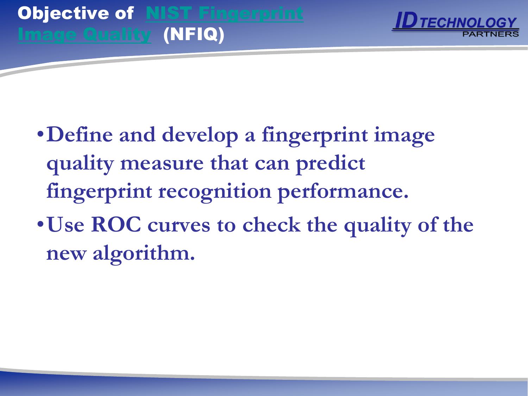

- •**Define and develop a fingerprint image quality measure that can predict fingerprint recognition performance.**
- •**Use ROC curves to check the quality of the new algorithm.**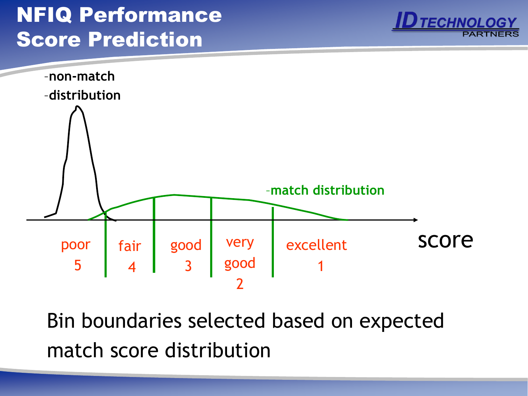## NFIQ Performance Score Prediction





Bin boundaries selected based on expected match score distribution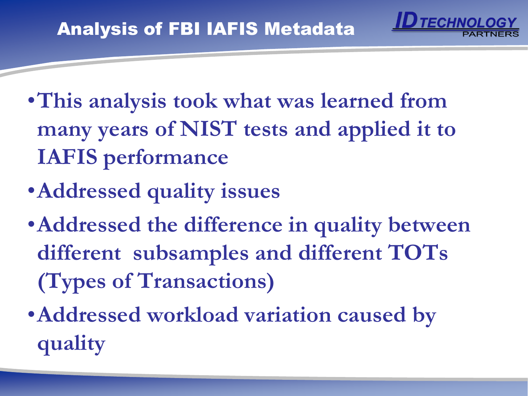- •**This analysis took what was learned from many years of NIST tests and applied it to IAFIS performance**
- •**Addressed quality issues**
- •**Addressed the difference in quality between different subsamples and different TOTs (Types of Transactions)**
- •**Addressed workload variation caused by quality**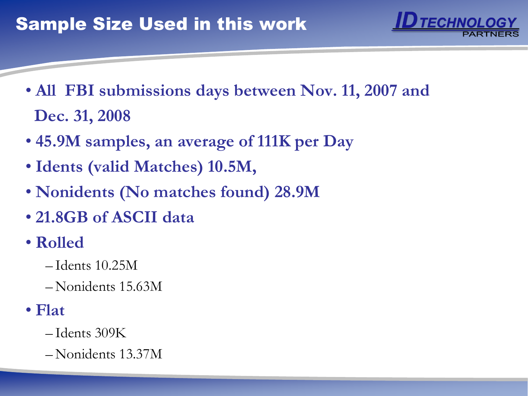

- **All FBI submissions days between Nov. 11, 2007 and Dec. 31, 2008**
- **45.9M samples, an average of 111K per Day**
- **Idents (valid Matches) 10.5M,**
- **Nonidents (No matches found) 28.9M**
- **21.8GB of ASCII data**
- **Rolled**
	- Idents 10.25M
	- Nonidents 15.63M
- **Flat**
	- Idents 309K
	- Nonidents 13.37M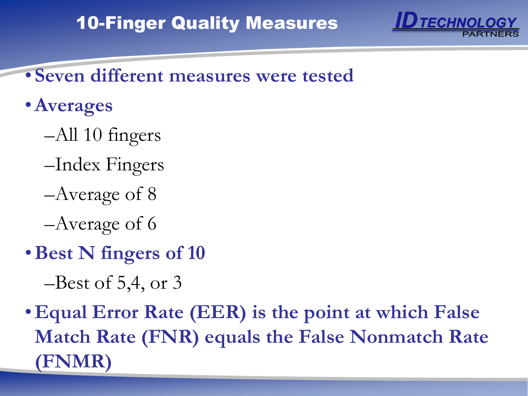

- **Seven different measures were tested**
- •**Averages**
	- –All 10 fingers
	- –Index Fingers
	- –Average of 8
	- –Average of 6
- •**Best N fingers of 10**
	- $-$ Best of 5,4, or 3
- •**Equal Error Rate (EER) is the point at which False Match Rate (FNR) equals the False Nonmatch Rate (FNMR)**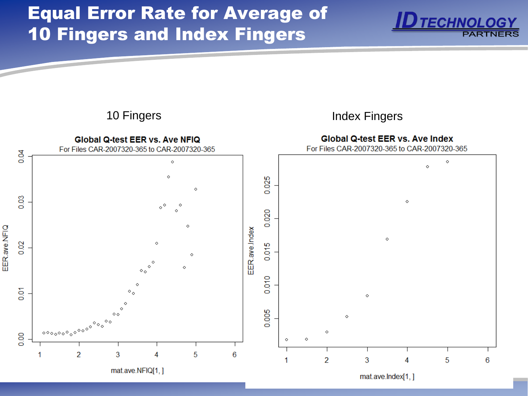## Equal Error Rate for Average of 10 Fingers and Index Fingers



mat.ave.lndex[1,]

**TECHNOLOGY**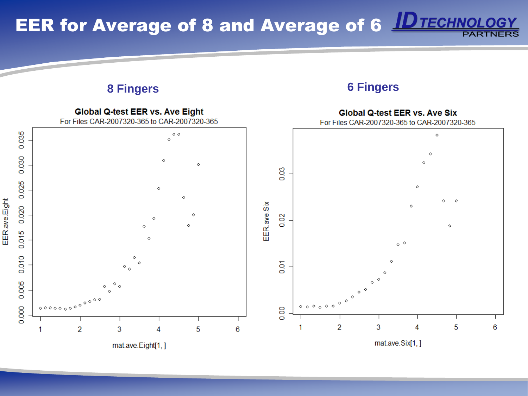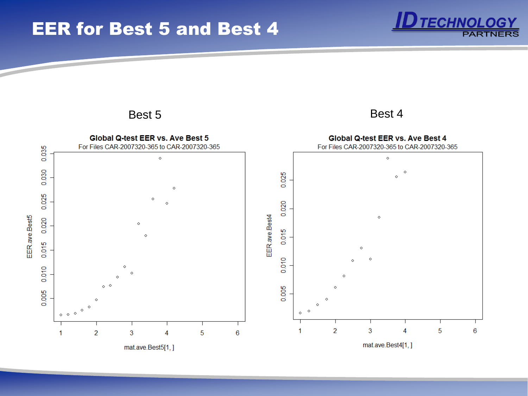



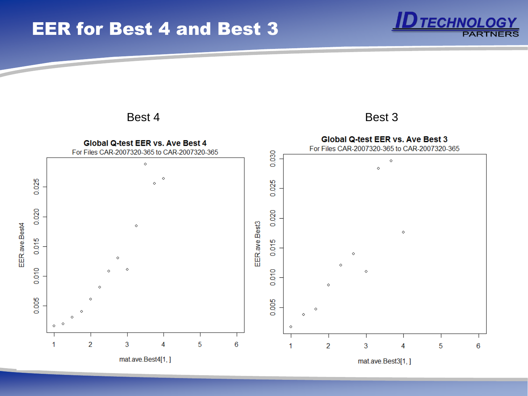#### EER for Best 4 and Best 3



#### **TECHNOLOGY PARTNE**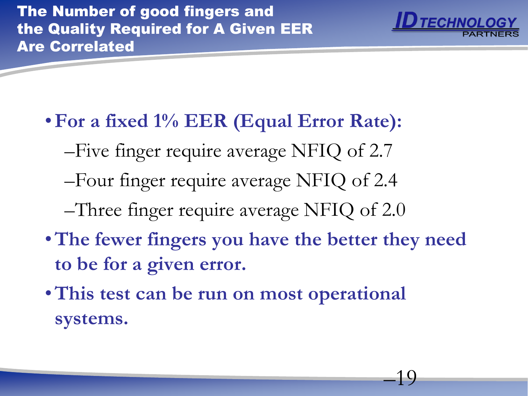

–19

- •**For a fixed 1% EER (Equal Error Rate):** –Five finger require average NFIQ of 2.7 –Four finger require average NFIQ of 2.4 –Three finger require average NFIQ of 2.0
- •**The fewer fingers you have the better they need to be for a given error.**
- •**This test can be run on most operational systems.**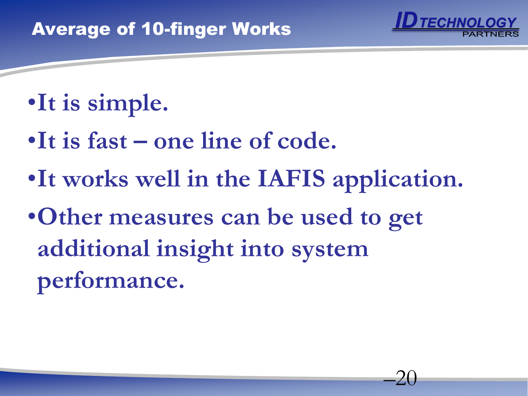

–20

- •**It is simple.**
- •It is fast one line of code.
- •**It works well in the IAFIS application.**
- •**Other measures can be used to get additional insight into system performance.**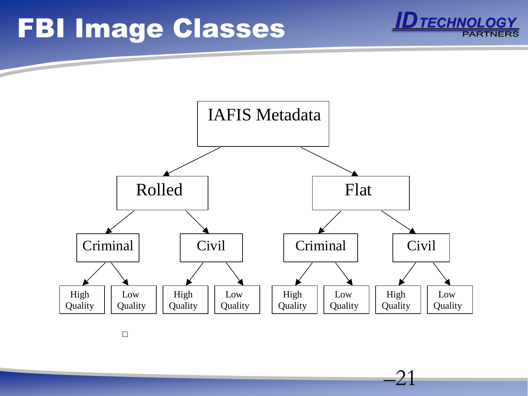# FBI Image Classes



–21

**TECHNOLOGY** 

 $\Box$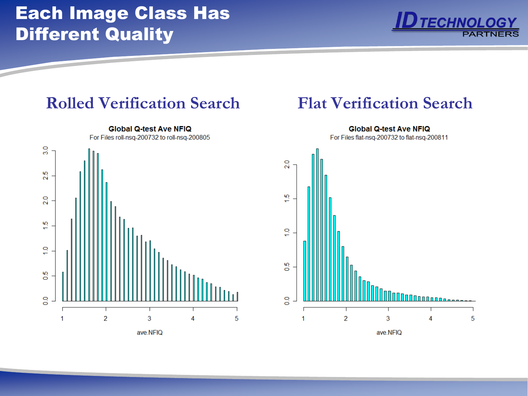### Each Image Class Has Different Quality



#### **Rolled Verification Search Flat Verification Search**



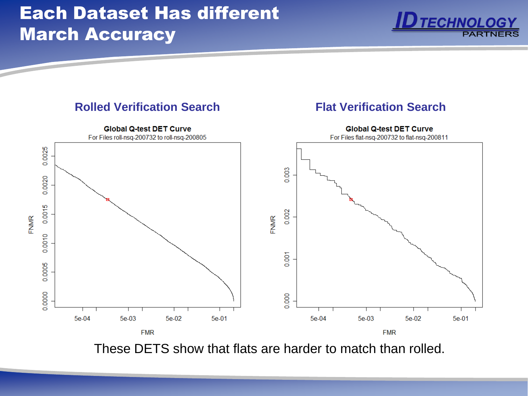#### Each Dataset Has different March Accuracy





These DETS show that flats are harder to match than rolled.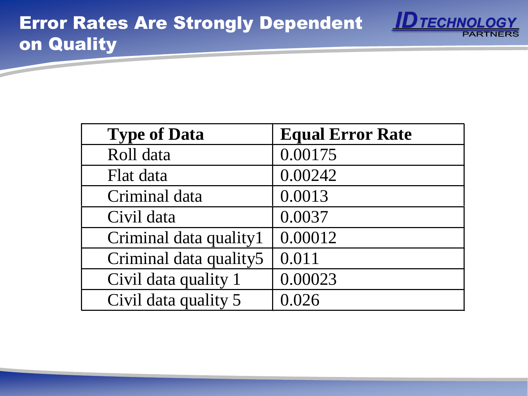

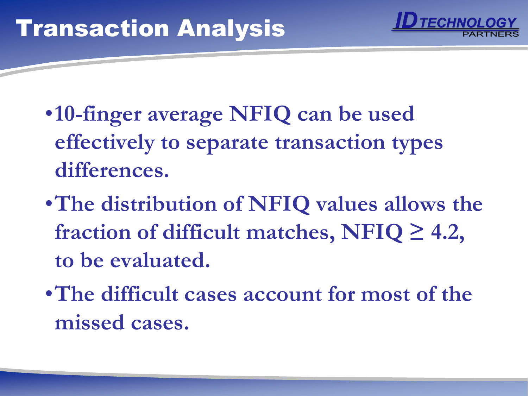

- •**10-finger average NFIQ can be used effectively to separate transaction types differences.**
- •**The distribution of NFIQ values allows the fraction of difficult matches, NFIQ ≥ 4.2, to be evaluated.**
- •**The difficult cases account for most of the missed cases.**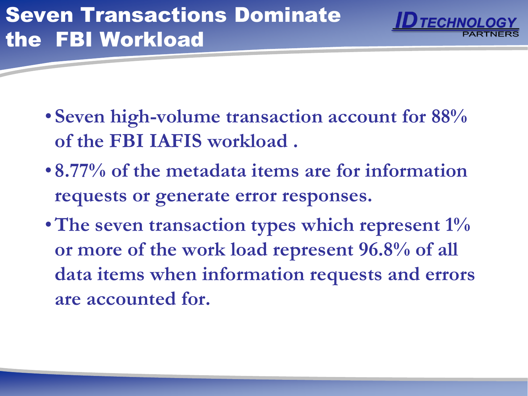

- **Seven high-volume transaction account for 88% of the FBI IAFIS workload .**
- **8.77% of the metadata items are for information requests or generate error responses.**
- •**The seven transaction types which represent 1% or more of the work load represent 96.8% of all data items when information requests and errors are accounted for.**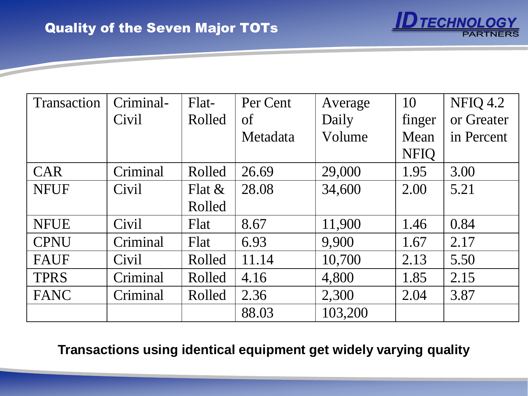

**TECHNOLOGY** 

**Transactions using identical equipment get widely varying quality**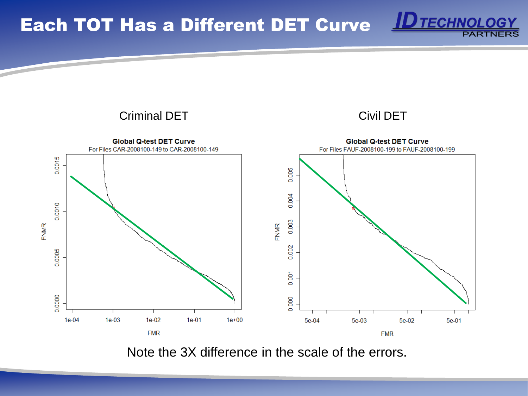Each TOT Has a Different DET Curve



**ID TECHNOLOGY** 

**PARTNE** 

Note the 3X difference in the scale of the errors.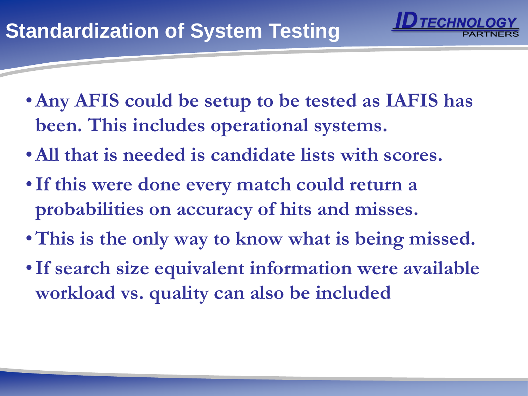- •**Any AFIS could be setup to be tested as IAFIS has been. This includes operational systems.**
- •**All that is needed is candidate lists with scores.**
- •**If this were done every match could return a probabilities on accuracy of hits and misses.**
- •**This is the only way to know what is being missed.**
- •**If search size equivalent information were available workload vs. quality can also be included**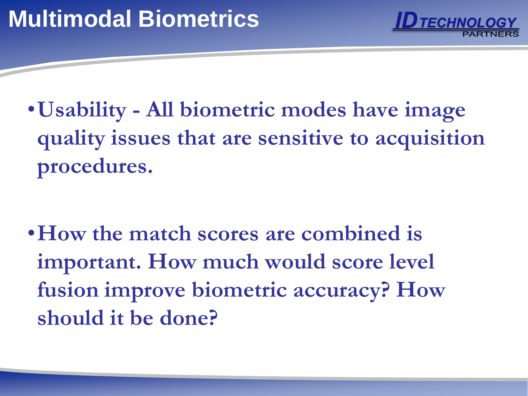

•**Usability - All biometric modes have image quality issues that are sensitive to acquisition procedures.**

•**How the match scores are combined is important. How much would score level fusion improve biometric accuracy? How should it be done?**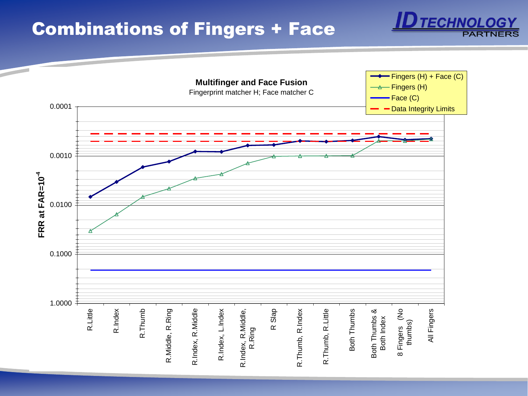#### Combinations of Fingers + Face



**TECHNOLOGY** 

**PARTNE**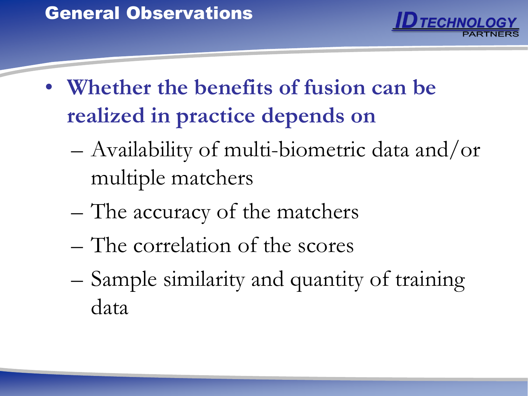

- **Whether the benefits of fusion can be realized in practice depends on**
	- Availability of multi-biometric data and/or multiple matchers
	- The accuracy of the matchers
	- The correlation of the scores
	- Sample similarity and quantity of training data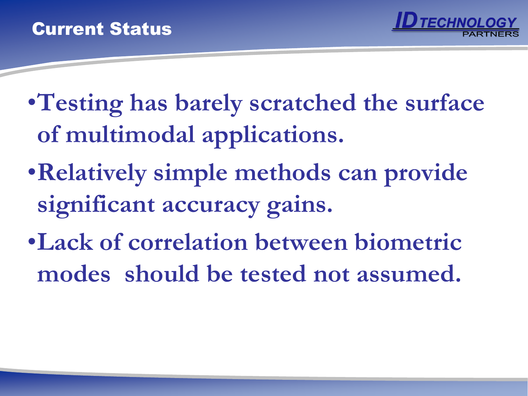

- •**Testing has barely scratched the surface of multimodal applications.**
- •**Relatively simple methods can provide significant accuracy gains.**
- •**Lack of correlation between biometric modes should be tested not assumed.**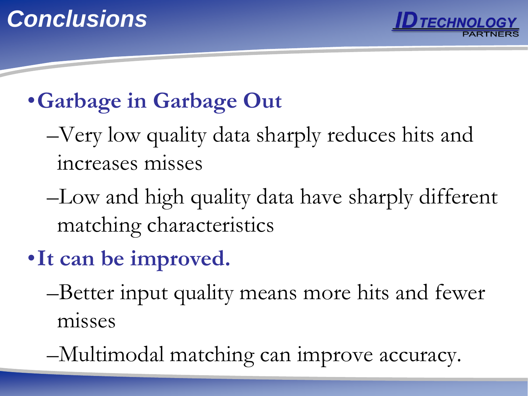

## •**Garbage in Garbage Out**

- –Very low quality data sharply reduces hits and increases misses
- –Low and high quality data have sharply different matching characteristics
- •**It can be improved.**
	- –Better input quality means more hits and fewer misses
	- –Multimodal matching can improve accuracy.